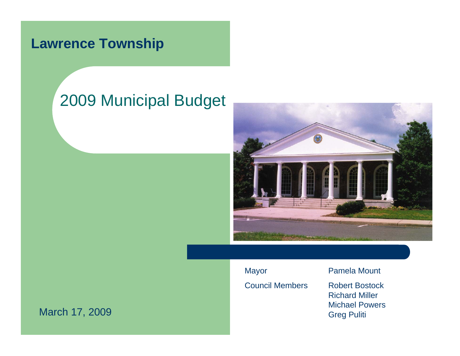# 2009 Municipal Budget



Mayor Pamela Mount Council Members Robert Bostock

Richard MillerMichael PowersGreg Puliti

March 17, 2009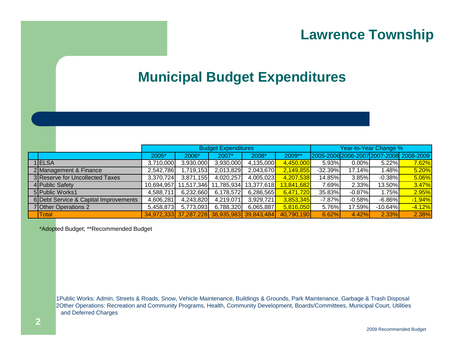#### **Municipal Budget Expenditures**

|  |                                       | <b>Budget Expenditures</b> |                                             |            |            |            | Year-to-Year Change % |           |            |                                         |
|--|---------------------------------------|----------------------------|---------------------------------------------|------------|------------|------------|-----------------------|-----------|------------|-----------------------------------------|
|  |                                       | 2005*                      | 2006*                                       | 2007*      | 2008*      | 2009**     |                       |           |            | 2005-2006 2006-2007 2007-2008 2008-2009 |
|  | 1 ELSA                                | 3,710,000                  | 3,930,000                                   | 3,930,000  | 4,135,000  | 4,450,000  | 5.93%                 | $0.00\%$  | $5.22\%$   | 7.62%                                   |
|  | 2 Management & Finance                | 2,542,786                  | 1,719,153                                   | 2,013,829  | 2,043,670  | 2,149,855  | $-32.39%$             | 17.14%    | $1.48\%$   | 5.20%                                   |
|  | 3 Reserve for Uncollected Taxes       | 3,370,724                  | 3,871,155                                   | 4,020,257  | 4,005,023  | 4,207,538  | 14.85%                | 3.85%     | $-0.38\%$  | 5.06%                                   |
|  | 4 Public Safety                       | 10,694,957                 | 11,517,346                                  | 11,785,934 | 13,377,618 | 13,841,682 | 7.69%                 | 2.33%     | 13.50%     | 3.47%                                   |
|  | 5 Public Works1                       | 4,588,711                  | 6,232,660                                   | 6,178,572  | 6,286,565  | 6,471,720  | 35.83%                | $-0.87\%$ | $1.75\%$   | 2.95%                                   |
|  | 6 Debt Service & Capital Improvements | 4,606,281                  | 4,243,820                                   | 4,219,071  | 3,929,721  | 3,853,345  | $-7.87%$              | $-0.58%$  | $-6.86\%$  | $-1.94%$                                |
|  | 7 Other Operations 2                  | 5,458,873                  | 5,773,093                                   | 6,788,320  | 6,065,887  | 5,816,050  | 5.76%                 | 17.59%    | $-10.64\%$ | $-4.12%$                                |
|  | <b>Total</b>                          |                            | 34,972,333 37,287,228 38,935,983 39,843,484 |            |            | 40,790,190 | 6.62%                 | 4.42%     | 2.33%      | 2.38%                                   |

\*Adopted Budget; \*\*Recommended Budget

1Public Works: Admin, Streets & Roads, Snow, Vehicle Maintenance, Buildings & Grounds, Park Maintenance, Garbage & Trash Disposal 2Other Operations: Recreation and Community Programs, Health, Community Development, Boards/Committees, Municipal Court, Utilities and Deferred Charges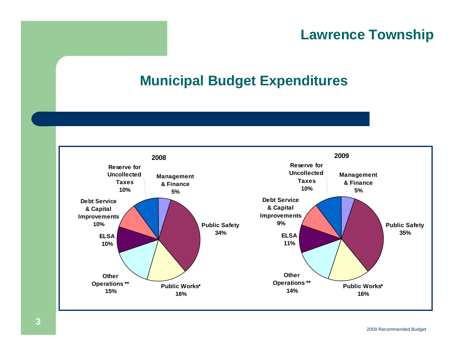## **Municipal Budget Expenditures**

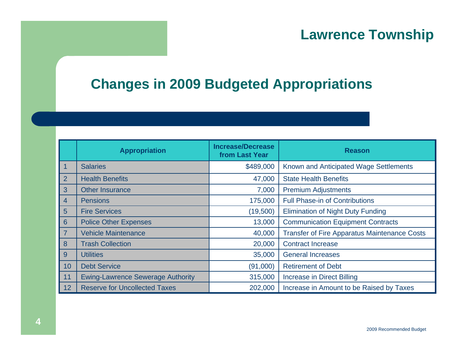### **Changes in 2009 Budgeted Appropriations**

|                | <b>Appropriation</b>                     | <b>Increase/Decrease</b><br>from Last Year | <b>Reason</b>                                       |
|----------------|------------------------------------------|--------------------------------------------|-----------------------------------------------------|
|                | <b>Salaries</b>                          | \$489,000                                  | Known and Anticipated Wage Settlements              |
| $\overline{2}$ | <b>Health Benefits</b>                   | 47,000                                     | <b>State Health Benefits</b>                        |
| 3              | <b>Other Insurance</b>                   | 7,000                                      | <b>Premium Adjustments</b>                          |
| $\overline{4}$ | <b>Pensions</b>                          | 175,000                                    | <b>Full Phase-in of Contributions</b>               |
| 5 <sup>5</sup> | <b>Fire Services</b>                     | (19,500)                                   | <b>Elimination of Night Duty Funding</b>            |
| 6              | <b>Police Other Expenses</b>             | 13,000                                     | <b>Communication Equipment Contracts</b>            |
| $\overline{7}$ | <b>Vehicle Maintenance</b>               | 40,000                                     | <b>Transfer of Fire Apparatus Maintenance Costs</b> |
| 8              | <b>Trash Collection</b>                  | 20,000                                     | <b>Contract Increase</b>                            |
| 9              | <b>Utilities</b>                         | 35,000                                     | <b>General Increases</b>                            |
| 10             | <b>Debt Service</b>                      | (91,000)                                   | <b>Retirement of Debt</b>                           |
| 11             | <b>Ewing-Lawrence Sewerage Authority</b> | 315,000                                    | <b>Increase in Direct Billing</b>                   |
| 12             | <b>Reserve for Uncollected Taxes</b>     | 202,000                                    | Increase in Amount to be Raised by Taxes            |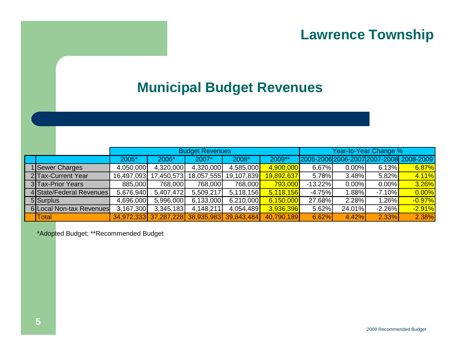#### **Municipal Budget Revenues**

|                    |                          | <b>Budget Revenues</b> |                                             |            |            |            |           | Year-to-Year Change % |           |                                         |  |  |
|--------------------|--------------------------|------------------------|---------------------------------------------|------------|------------|------------|-----------|-----------------------|-----------|-----------------------------------------|--|--|
|                    |                          | 2005*                  | 2006*                                       | 2007*      | 2008*      | 2009**     |           |                       |           | 2005-2006 2006-2007 2007-2008 2008-2009 |  |  |
| 1 Sewer Charges    |                          | 4,050,000              | 4,320,000                                   | 4,320,000  | 4,585,000  | 4,900,000  | 6.67%     | 0.00%                 | 6.13%     | 6.87%                                   |  |  |
| 2 Tax-Current Year |                          | 16,497,093             | 17,450,573                                  | 18,057,555 | 19,107,839 | 19,892,637 | 5.78%     | 3.48%                 | 5.82%     | 4.11%                                   |  |  |
| 3 Tax-Prior Years  |                          | 885,000                | 768,000                                     | 768,000    | 768,000    | 793,000    | $-13.22%$ | 0.00%                 | $0.00\%$  | 3.26%                                   |  |  |
|                    | 4 State/Federal Revenues | 5,676,940              | 5,407,472                                   | 5,509,217  | 5,118,156  | 5,118,156  | $-4.75%$  | 1.88%                 | $-7.10\%$ | 0.00%                                   |  |  |
| 5 Surplus          |                          | 4,696,000              | 5,996,000                                   | 6,133,000  | 6,210,000  | 6,150,000  | 27.68%    | 2.28%                 | $1.26\%$  | $-0.97%$                                |  |  |
|                    | 6 Local Non-tax Revenues | 3,167,300              | 3,345,183                                   | 4,148,211  | 4,054,489  | 3,936,396  | 5.62%     | 24.01%                | $-2.26%$  | $-2.91%$                                |  |  |
| <b>Total</b>       |                          |                        | 34,972,333 37,287,228 38,935,983 39,843,484 |            |            | 40,790,189 | 6.62%     | 4.42%                 | 2.33%     | 2.38%                                   |  |  |

\*Adopted Budget; \*\*Recommended Budget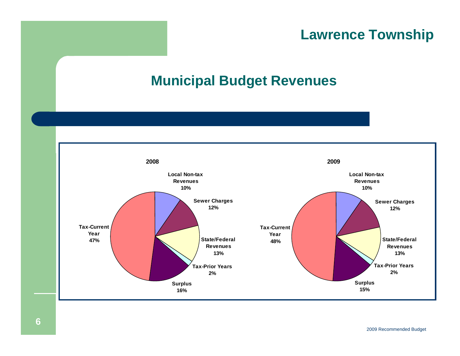## **Municipal Budget Revenues**

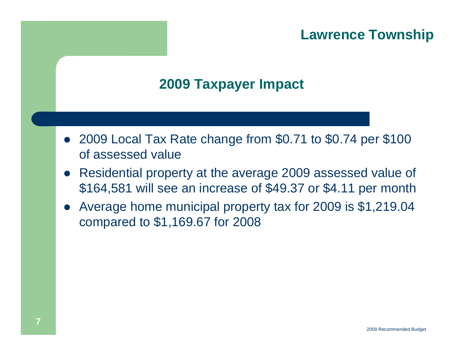## **2009 Taxpayer Impact**

- 2009 Local Tax Rate change from \$0.71 to \$0.74 per \$100 of assessed value
- $\bullet$  Residential property at the average 2009 assessed value of \$164,581 will see an increase of \$49.37 or \$4.11 per month
- $\bullet$  Average home municipal property tax for 2009 is \$1,219.04 compared to \$1,169.67 for 2008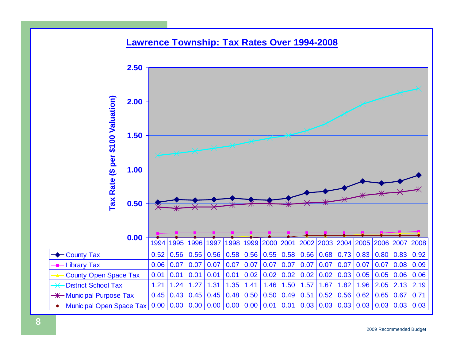#### <u>Lawrence</u> Township **Lawrence Township: Tax Rates Over 1994-2008**

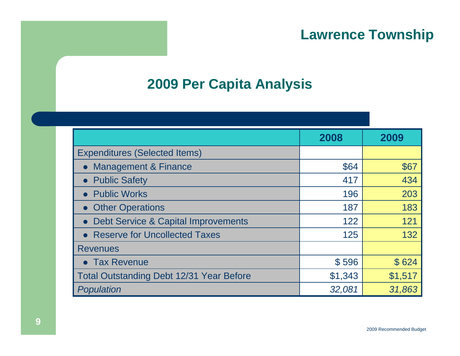#### **2009 Per Capita Analysis**

|                                                 | 2008    | 2009    |
|-------------------------------------------------|---------|---------|
| <b>Expenditures (Selected Items)</b>            |         |         |
| <b>Management &amp; Finance</b>                 | \$64    | \$67    |
| <b>Public Safety</b>                            | 417     | 434     |
| <b>Public Works</b>                             | 196     | 203     |
| • Other Operations                              | 187     | 183     |
| <b>Debt Service &amp; Capital Improvements</b>  | 122     | 121     |
| • Reserve for Uncollected Taxes                 | 125     | 132     |
| <b>Revenues</b>                                 |         |         |
| • Tax Revenue                                   | \$596   | \$624   |
| <b>Total Outstanding Debt 12/31 Year Before</b> | \$1,343 | \$1,517 |
| Population                                      | 32,081  | 31,863  |